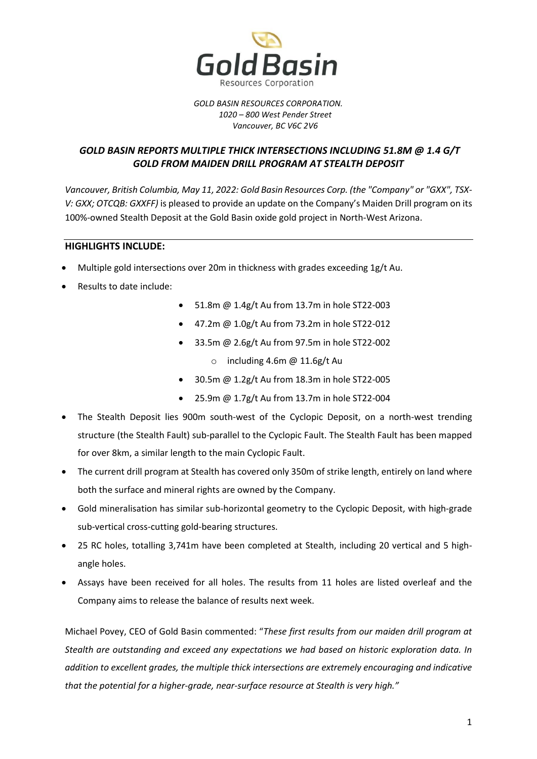

### *GOLD BASIN RESOURCES CORPORATION. 1020 – 800 West Pender Street Vancouver, BC V6C 2V6*

# *GOLD BASIN REPORTS MULTIPLE THICK INTERSECTIONS INCLUDING 51.8M @ 1.4 G/T GOLD FROM MAIDEN DRILL PROGRAM AT STEALTH DEPOSIT*

*Vancouver, British Columbia, May 11, 2022: Gold Basin Resources Corp. (the "Company" or "GXX", TSX-V: GXX; OTCQB: GXXFF)* is pleased to provide an update on the Company's Maiden Drill program on its 100%-owned Stealth Deposit at the Gold Basin oxide gold project in North-West Arizona.

## **HIGHLIGHTS INCLUDE:**

- Multiple gold intersections over 20m in thickness with grades exceeding 1g/t Au.
- Results to date include:
- 51.8m @ 1.4g/t Au from 13.7m in hole ST22-003
- 47.2m @ 1.0g/t Au from 73.2m in hole ST22-012
- 33.5m @ 2.6g/t Au from 97.5m in hole ST22-002
	- $\circ$  including 4.6m @ 11.6g/t Au
- 30.5m @ 1.2g/t Au from 18.3m in hole ST22-005
- 25.9m @ 1.7g/t Au from 13.7m in hole ST22-004
- The Stealth Deposit lies 900m south-west of the Cyclopic Deposit, on a north-west trending structure (the Stealth Fault) sub-parallel to the Cyclopic Fault. The Stealth Fault has been mapped for over 8km, a similar length to the main Cyclopic Fault.
- The current drill program at Stealth has covered only 350m of strike length, entirely on land where both the surface and mineral rights are owned by the Company.
- Gold mineralisation has similar sub-horizontal geometry to the Cyclopic Deposit, with high-grade sub-vertical cross-cutting gold-bearing structures.
- 25 RC holes, totalling 3,741m have been completed at Stealth, including 20 vertical and 5 highangle holes.
- Assays have been received for all holes. The results from 11 holes are listed overleaf and the Company aims to release the balance of results next week.

Michael Povey, CEO of Gold Basin commented: "*These first results from our maiden drill program at Stealth are outstanding and exceed any expectations we had based on historic exploration data. In addition to excellent grades, the multiple thick intersections are extremely encouraging and indicative that the potential for a higher-grade, near-surface resource at Stealth is very high."*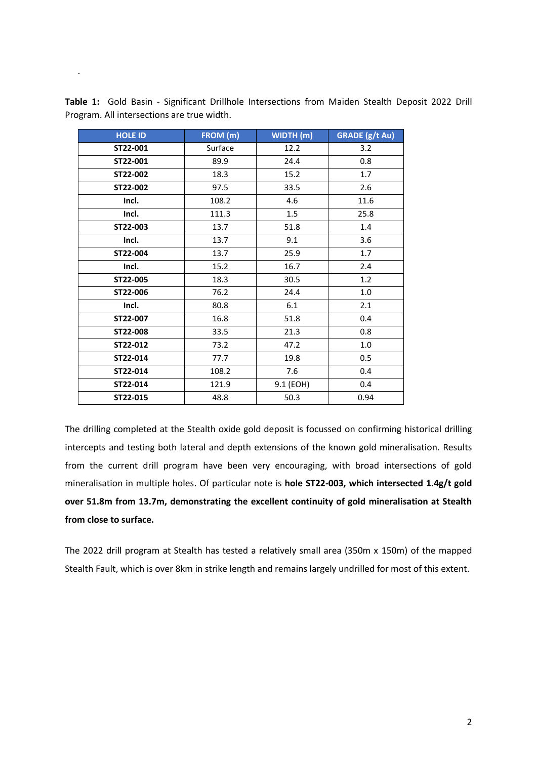| <b>HOLE ID</b> | FROM (m) | WIDTH (m) | <b>GRADE</b> (g/t Au) |
|----------------|----------|-----------|-----------------------|
| ST22-001       | Surface  | 12.2      | 3.2                   |
| ST22-001       | 89.9     | 24.4      | 0.8                   |
| ST22-002       | 18.3     | 15.2      | 1.7                   |
| ST22-002       | 97.5     | 33.5      | 2.6                   |
| Incl.          | 108.2    | 4.6       | 11.6                  |
| Incl.          | 111.3    | 1.5       | 25.8                  |
| ST22-003       | 13.7     | 51.8      | 1.4                   |
| Incl.          | 13.7     | 9.1       | 3.6                   |
| ST22-004       | 13.7     | 25.9      | 1.7                   |
| Incl.          | 15.2     | 16.7      | 2.4                   |
| ST22-005       | 18.3     | 30.5      | 1.2                   |
| ST22-006       | 76.2     | 24.4      | 1.0                   |
| Incl.          | 80.8     | 6.1       | 2.1                   |
| ST22-007       | 16.8     | 51.8      | 0.4                   |
| ST22-008       | 33.5     | 21.3      | 0.8                   |
| ST22-012       | 73.2     | 47.2      | 1.0                   |
| ST22-014       | 77.7     | 19.8      | 0.5                   |
| ST22-014       | 108.2    | 7.6       | 0.4                   |
| ST22-014       | 121.9    | 9.1 (EOH) | 0.4                   |
| ST22-015       | 48.8     | 50.3      | 0.94                  |

**Table 1:** Gold Basin - Significant Drillhole Intersections from Maiden Stealth Deposit 2022 Drill Program. All intersections are true width.

.

The drilling completed at the Stealth oxide gold deposit is focussed on confirming historical drilling intercepts and testing both lateral and depth extensions of the known gold mineralisation. Results from the current drill program have been very encouraging, with broad intersections of gold mineralisation in multiple holes. Of particular note is **hole ST22-003, which intersected 1.4g/t gold over 51.8m from 13.7m, demonstrating the excellent continuity of gold mineralisation at Stealth from close to surface.**

The 2022 drill program at Stealth has tested a relatively small area (350m x 150m) of the mapped Stealth Fault, which is over 8km in strike length and remains largely undrilled for most of this extent.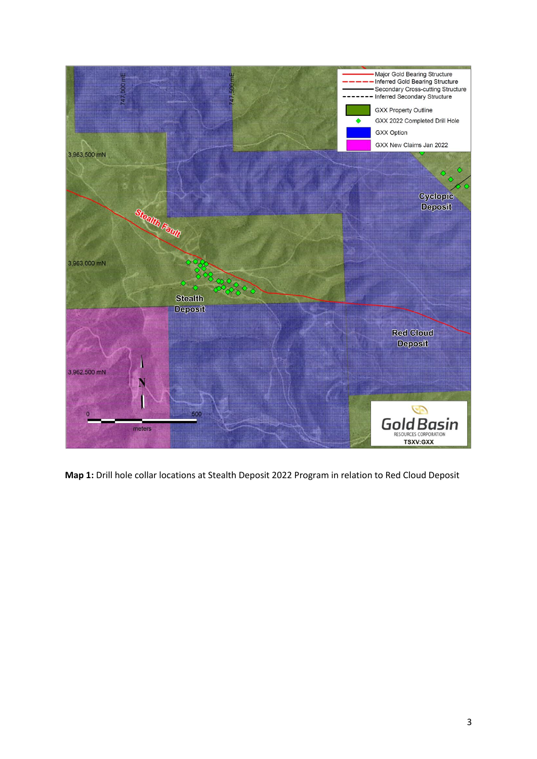

**Map 1:** Drill hole collar locations at Stealth Deposit 2022 Program in relation to Red Cloud Deposit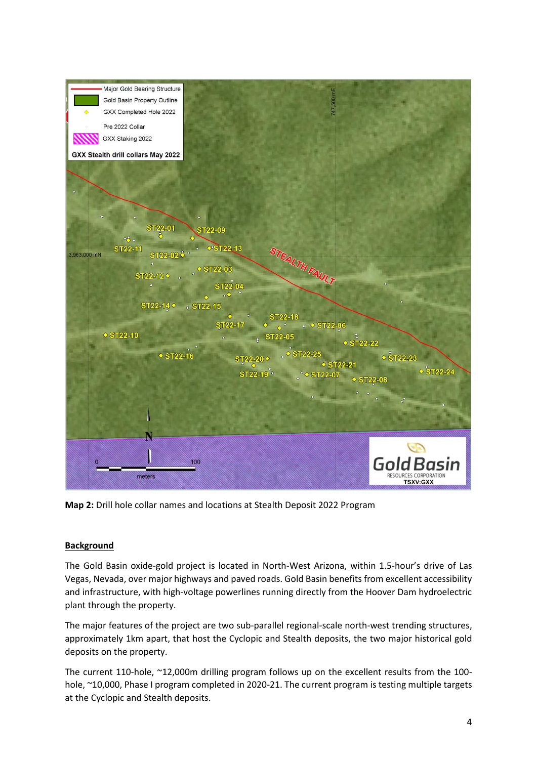

**Map 2:** Drill hole collar names and locations at Stealth Deposit 2022 Program

## **Background**

The Gold Basin oxide-gold project is located in North-West Arizona, within 1.5-hour's drive of Las Vegas, Nevada, over major highways and paved roads. Gold Basin benefits from excellent accessibility and infrastructure, with high-voltage powerlines running directly from the Hoover Dam hydroelectric plant through the property.

The major features of the project are two sub-parallel regional-scale north-west trending structures, approximately 1km apart, that host the Cyclopic and Stealth deposits, the two major historical gold deposits on the property.

The current 110-hole, ~12,000m drilling program follows up on the excellent results from the 100 hole, ~10,000, Phase I program completed in 2020-21. The current program is testing multiple targets at the Cyclopic and Stealth deposits.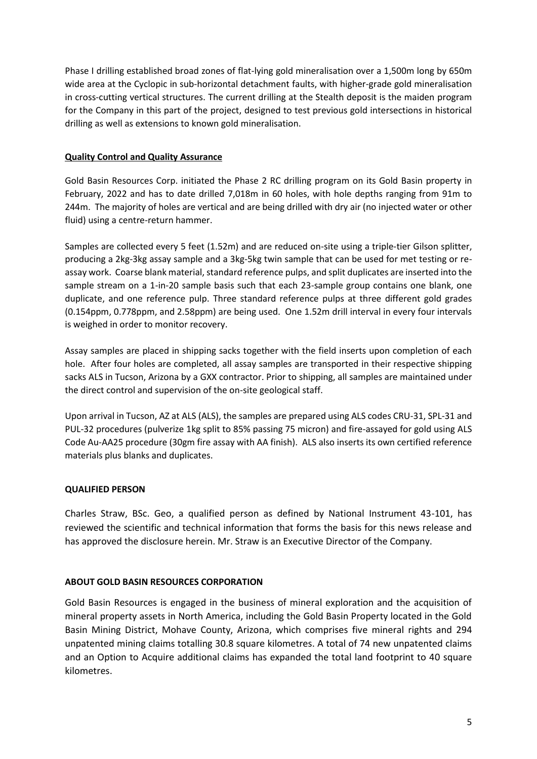Phase I drilling established broad zones of flat-lying gold mineralisation over a 1,500m long by 650m wide area at the Cyclopic in sub-horizontal detachment faults, with higher-grade gold mineralisation in cross-cutting vertical structures. The current drilling at the Stealth deposit is the maiden program for the Company in this part of the project, designed to test previous gold intersections in historical drilling as well as extensions to known gold mineralisation.

## **Quality Control and Quality Assurance**

Gold Basin Resources Corp. initiated the Phase 2 RC drilling program on its Gold Basin property in February, 2022 and has to date drilled 7,018m in 60 holes, with hole depths ranging from 91m to 244m. The majority of holes are vertical and are being drilled with dry air (no injected water or other fluid) using a centre-return hammer.

Samples are collected every 5 feet (1.52m) and are reduced on-site using a triple-tier Gilson splitter, producing a 2kg-3kg assay sample and a 3kg-5kg twin sample that can be used for met testing or reassay work. Coarse blank material, standard reference pulps, and split duplicates are inserted into the sample stream on a 1-in-20 sample basis such that each 23-sample group contains one blank, one duplicate, and one reference pulp. Three standard reference pulps at three different gold grades (0.154ppm, 0.778ppm, and 2.58ppm) are being used. One 1.52m drill interval in every four intervals is weighed in order to monitor recovery.

Assay samples are placed in shipping sacks together with the field inserts upon completion of each hole. After four holes are completed, all assay samples are transported in their respective shipping sacks ALS in Tucson, Arizona by a GXX contractor. Prior to shipping, all samples are maintained under the direct control and supervision of the on-site geological staff.

Upon arrival in Tucson, AZ at ALS (ALS), the samples are prepared using ALS codes CRU-31, SPL-31 and PUL-32 procedures (pulverize 1kg split to 85% passing 75 micron) and fire-assayed for gold using ALS Code Au-AA25 procedure (30gm fire assay with AA finish). ALS also inserts its own certified reference materials plus blanks and duplicates.

## **QUALIFIED PERSON**

Charles Straw, BSc. Geo, a qualified person as defined by National Instrument 43-101, has reviewed the scientific and technical information that forms the basis for this news release and has approved the disclosure herein. Mr. Straw is an Executive Director of the Company.

## **ABOUT GOLD BASIN RESOURCES CORPORATION**

Gold Basin Resources is engaged in the business of mineral exploration and the acquisition of mineral property assets in North America, including the Gold Basin Property located in the Gold Basin Mining District, Mohave County, Arizona, which comprises five mineral rights and 294 unpatented mining claims totalling 30.8 square kilometres. A total of 74 new unpatented claims and an Option to Acquire additional claims has expanded the total land footprint to 40 square kilometres.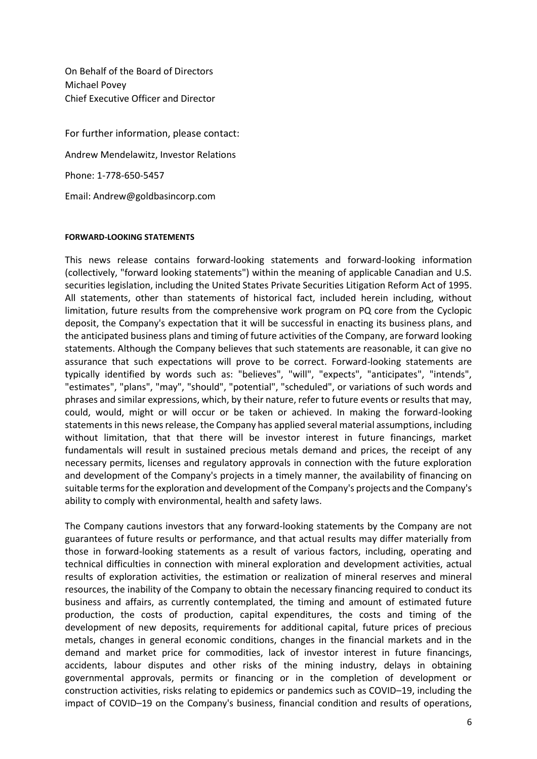On Behalf of the Board of Directors Michael Povey Chief Executive Officer and Director

For further information, please contact: Andrew Mendelawitz, Investor Relations Phone: 1-778-650-5457 Email: Andrew@goldbasincorp.com

### **FORWARD-LOOKING STATEMENTS**

This news release contains forward-looking statements and forward-looking information (collectively, "forward looking statements") within the meaning of applicable Canadian and U.S. securities legislation, including the United States Private Securities Litigation Reform Act of 1995. All statements, other than statements of historical fact, included herein including, without limitation, future results from the comprehensive work program on PQ core from the Cyclopic deposit, the Company's expectation that it will be successful in enacting its business plans, and the anticipated business plans and timing of future activities of the Company, are forward looking statements. Although the Company believes that such statements are reasonable, it can give no assurance that such expectations will prove to be correct. Forward-looking statements are typically identified by words such as: "believes", "will", "expects", "anticipates", "intends", "estimates", "plans", "may", "should", "potential", "scheduled", or variations of such words and phrases and similar expressions, which, by their nature, refer to future events or results that may, could, would, might or will occur or be taken or achieved. In making the forward-looking statements in this news release, the Company has applied several material assumptions, including without limitation, that that there will be investor interest in future financings, market fundamentals will result in sustained precious metals demand and prices, the receipt of any necessary permits, licenses and regulatory approvals in connection with the future exploration and development of the Company's projects in a timely manner, the availability of financing on suitable terms for the exploration and development of the Company's projects and the Company's ability to comply with environmental, health and safety laws.

The Company cautions investors that any forward-looking statements by the Company are not guarantees of future results or performance, and that actual results may differ materially from those in forward-looking statements as a result of various factors, including, operating and technical difficulties in connection with mineral exploration and development activities, actual results of exploration activities, the estimation or realization of mineral reserves and mineral resources, the inability of the Company to obtain the necessary financing required to conduct its business and affairs, as currently contemplated, the timing and amount of estimated future production, the costs of production, capital expenditures, the costs and timing of the development of new deposits, requirements for additional capital, future prices of precious metals, changes in general economic conditions, changes in the financial markets and in the demand and market price for commodities, lack of investor interest in future financings, accidents, labour disputes and other risks of the mining industry, delays in obtaining governmental approvals, permits or financing or in the completion of development or construction activities, risks relating to epidemics or pandemics such as COVID–19, including the impact of COVID–19 on the Company's business, financial condition and results of operations,